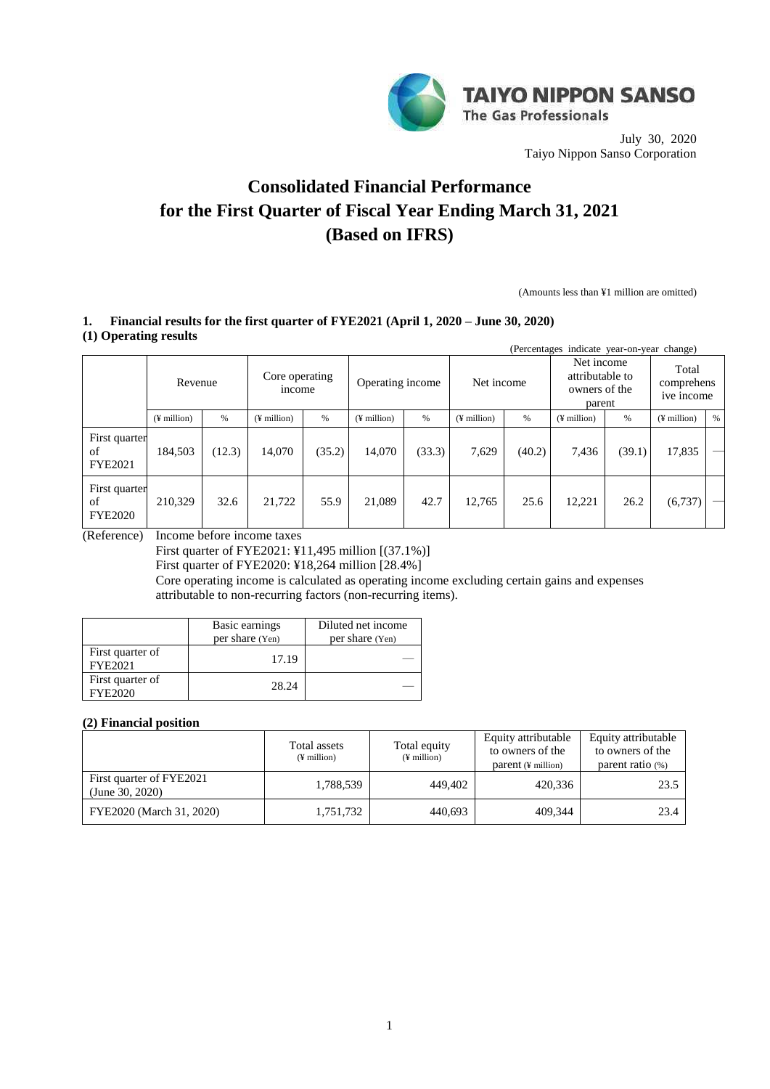

July 30, 2020 Taiyo Nippon Sanso Corporation

# **Consolidated Financial Performance for the First Quarter of Fiscal Year Ending March 31, 2021 (Based on IFRS)**

(Amounts less than ¥1 million are omitted)

## **1. Financial results for the first quarter of FYE2021 (April 1, 2020 – June 30, 2020) (1) Operating results**

| indicate year-on-year change)<br>(Percentages) |                   |        |                                              |        |                   |        |                                                          |        |                                   |        |                              |      |
|------------------------------------------------|-------------------|--------|----------------------------------------------|--------|-------------------|--------|----------------------------------------------------------|--------|-----------------------------------|--------|------------------------------|------|
|                                                | Revenue           |        | Core operating<br>Operating income<br>income |        | Net income        |        | Net income<br>attributable to<br>owners of the<br>parent |        | Total<br>comprehens<br>ive income |        |                              |      |
|                                                | $($ ¥ million $)$ | $\%$   | $($ ¥ million $)$                            | %      | $($ ¥ million $)$ | %      | $($ <del>i</del> million $)$                             | $\%$   | $($ ¥ million $)$                 | %      | $($ <del>i</del> million $)$ | $\%$ |
| First quarter<br>of<br><b>FYE2021</b>          | 184,503           | (12.3) | 14,070                                       | (35.2) | 14,070            | (33.3) | 7,629                                                    | (40.2) | 7,436                             | (39.1) | 17,835                       |      |
| First quarter<br>of<br><b>FYE2020</b>          | 210.329           | 32.6   | 21,722                                       | 55.9   | 21,089            | 42.7   | 12,765                                                   | 25.6   | 12,221                            | 26.2   | (6,737)                      |      |

(Reference) Income before income taxes

First quarter of FYE2021: ¥11,495 million [(37.1%)]

First quarter of FYE2020: ¥18,264 million [28.4%]

Core operating income is calculated as operating income excluding certain gains and expenses attributable to non-recurring factors (non-recurring items).

|                             | Basic earnings  | Diluted net income |
|-----------------------------|-----------------|--------------------|
|                             | per share (Yen) | per share (Yen)    |
| First quarter of<br>FYE2021 | 17.19           |                    |
| First quarter of<br>FYE2020 | 28.24           |                    |

# **(2) Financial position**

|                                             | Total assets<br>$(\frac{1}{2})$ million | Total equity<br>$(\frac{1}{2})$ million | Equity attributable<br>to owners of the<br>$parent(F\text{ million})$ | Equity attributable<br>to owners of the<br>parent ratio $(\%)$ |
|---------------------------------------------|-----------------------------------------|-----------------------------------------|-----------------------------------------------------------------------|----------------------------------------------------------------|
| First quarter of FYE2021<br>(June 30, 2020) | 1,788,539                               | 449,402                                 | 420.336                                                               | 23.5                                                           |
| FYE2020 (March 31, 2020)                    | 1,751,732                               | 440,693                                 | 409.344                                                               | 23.4                                                           |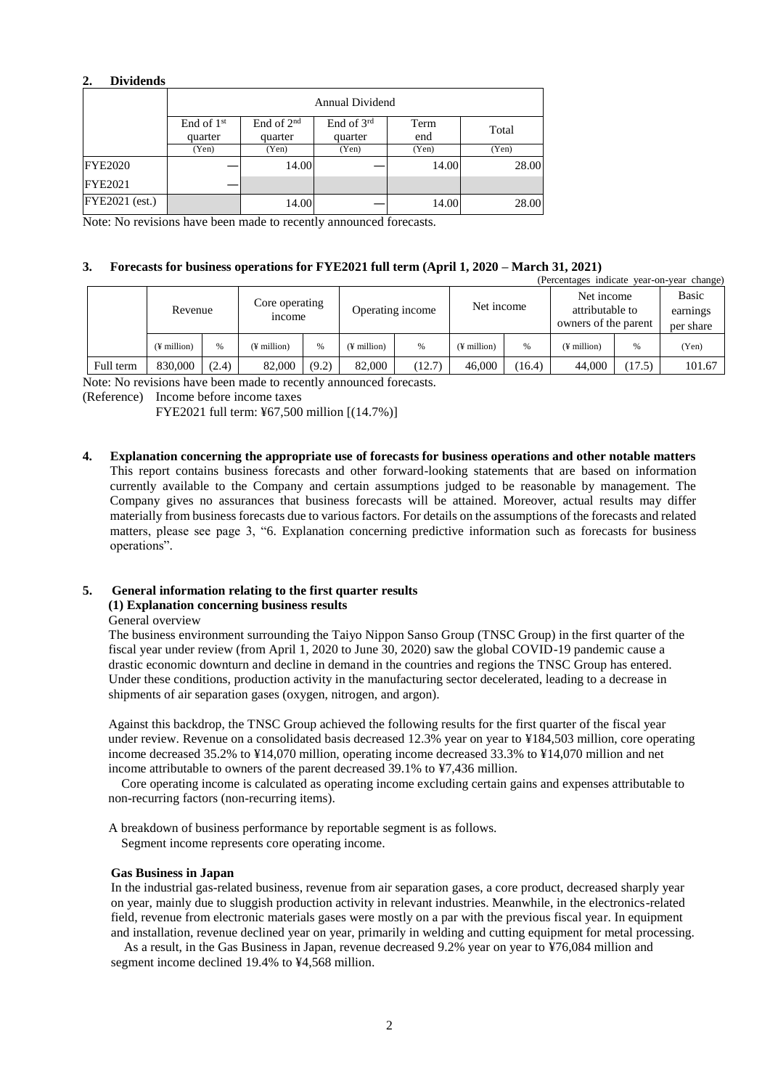#### **2. Dividends**

|                       | <b>Annual Dividend</b>  |                         |                         |             |       |  |  |  |  |
|-----------------------|-------------------------|-------------------------|-------------------------|-------------|-------|--|--|--|--|
|                       | End of $1st$<br>quarter | End of $2nd$<br>quarter | End of $3rd$<br>quarter | Term<br>end | Total |  |  |  |  |
|                       | (Yen)                   | (Yen)                   | (Yen)                   | (Yen)       | (Yen) |  |  |  |  |
| <b>FYE2020</b>        |                         | 14.00                   |                         | 14.00       | 28.00 |  |  |  |  |
| <b>FYE2021</b>        |                         |                         |                         |             |       |  |  |  |  |
| <b>FYE2021</b> (est.) |                         | 14.00                   |                         | 14.00       | 28.00 |  |  |  |  |

Note: No revisions have been made to recently announced forecasts.

#### **3. Forecasts for business operations for FYE2021 full term (April 1, 2020 – March 31, 2021)**

| (Percentages indicate year-on-year change) |                   |       |                                 |               |                         |        |                   |        |                                                       |        |                                |
|--------------------------------------------|-------------------|-------|---------------------------------|---------------|-------------------------|--------|-------------------|--------|-------------------------------------------------------|--------|--------------------------------|
|                                            | Revenue           |       | Core operating<br><i>n</i> come |               | Operating income        |        | Net income        |        | Net income<br>attributable to<br>owners of the parent |        | Basic<br>earnings<br>per share |
|                                            | $($ ¥ million $)$ | %     | (¥ million)                     | $\frac{0}{0}$ | $(\frac{1}{2})$ million | %      | $($ ¥ million $)$ | %      | $($ ¥ million $)$                                     | %      | (Yen)                          |
| Full term                                  | 830,000           | (2.4) | 82,000                          | (9.2)         | 82,000                  | (12.7) | 46,000            | (16.4) | 44,000                                                | (17.5) | 101.67                         |

Note: No revisions have been made to recently announced forecasts.

(Reference) Income before income taxes

FYE2021 full term: ¥67,500 million [(14.7%)]

**4. Explanation concerning the appropriate use of forecasts for business operations and other notable matters** This report contains business forecasts and other forward-looking statements that are based on information currently available to the Company and certain assumptions judged to be reasonable by management. The Company gives no assurances that business forecasts will be attained. Moreover, actual results may differ materially from business forecasts due to various factors. For details on the assumptions of the forecasts and related matters, please see page 3, "6. Explanation concerning predictive information such as forecasts for business operations".

# **5. General information relating to the first quarter results**

#### **(1) Explanation concerning business results**

General overview

 The business environment surrounding the Taiyo Nippon Sanso Group (TNSC Group) in the first quarter of the fiscal year under review (from April 1, 2020 to June 30, 2020) saw the global COVID-19 pandemic cause a drastic economic downturn and decline in demand in the countries and regions the TNSC Group has entered. Under these conditions, production activity in the manufacturing sector decelerated, leading to a decrease in shipments of air separation gases (oxygen, nitrogen, and argon).

 Against this backdrop, the TNSC Group achieved the following results for the first quarter of the fiscal year under review. Revenue on a consolidated basis decreased 12.3% year on year to ¥184,503 million, core operating income decreased 35.2% to ¥14,070 million, operating income decreased 33.3% to ¥14,070 million and net income attributable to owners of the parent decreased 39.1% to ¥7,436 million.

 Core operating income is calculated as operating income excluding certain gains and expenses attributable to non-recurring factors (non-recurring items).

A breakdown of business performance by reportable segment is as follows.

Segment income represents core operating income.

#### **Gas Business in Japan**

In the industrial gas-related business, revenue from air separation gases, a core product, decreased sharply year on year, mainly due to sluggish production activity in relevant industries. Meanwhile, in the electronics-related field, revenue from electronic materials gases were mostly on a par with the previous fiscal year. In equipment and installation, revenue declined year on year, primarily in welding and cutting equipment for metal processing.

As a result, in the Gas Business in Japan, revenue decreased 9.2% year on year to ¥76,084 million and segment income declined 19.4% to ¥4,568 million.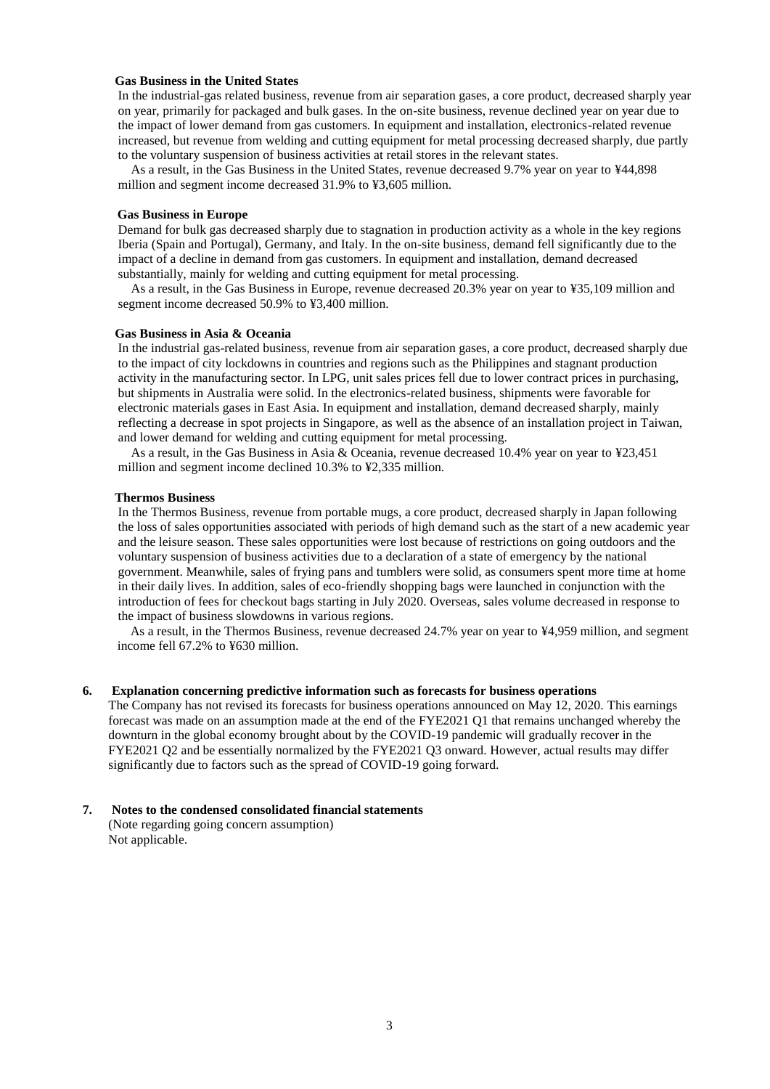#### **Gas Business in the United States**

In the industrial-gas related business, revenue from air separation gases, a core product, decreased sharply year on year, primarily for packaged and bulk gases. In the on-site business, revenue declined year on year due to the impact of lower demand from gas customers. In equipment and installation, electronics-related revenue increased, but revenue from welding and cutting equipment for metal processing decreased sharply, due partly to the voluntary suspension of business activities at retail stores in the relevant states.

As a result, in the Gas Business in the United States, revenue decreased 9.7% year on year to ¥44,898 million and segment income decreased 31.9% to ¥3,605 million.

#### **Gas Business in Europe**

Demand for bulk gas decreased sharply due to stagnation in production activity as a whole in the key regions Iberia (Spain and Portugal), Germany, and Italy. In the on-site business, demand fell significantly due to the impact of a decline in demand from gas customers. In equipment and installation, demand decreased substantially, mainly for welding and cutting equipment for metal processing.

As a result, in the Gas Business in Europe, revenue decreased 20.3% year on year to ¥35,109 million and segment income decreased 50.9% to ¥3,400 million.

#### **Gas Business in Asia & Oceania**

In the industrial gas-related business, revenue from air separation gases, a core product, decreased sharply due to the impact of city lockdowns in countries and regions such as the Philippines and stagnant production activity in the manufacturing sector. In LPG, unit sales prices fell due to lower contract prices in purchasing, but shipments in Australia were solid. In the electronics-related business, shipments were favorable for electronic materials gases in East Asia. In equipment and installation, demand decreased sharply, mainly reflecting a decrease in spot projects in Singapore, as well as the absence of an installation project in Taiwan, and lower demand for welding and cutting equipment for metal processing.

As a result, in the Gas Business in Asia & Oceania, revenue decreased 10.4% year on year to ¥23,451 million and segment income declined 10.3% to ¥2,335 million.

#### **Thermos Business**

In the Thermos Business, revenue from portable mugs, a core product, decreased sharply in Japan following the loss of sales opportunities associated with periods of high demand such as the start of a new academic year and the leisure season. These sales opportunities were lost because of restrictions on going outdoors and the voluntary suspension of business activities due to a declaration of a state of emergency by the national government. Meanwhile, sales of frying pans and tumblers were solid, as consumers spent more time at home in their daily lives. In addition, sales of eco-friendly shopping bags were launched in conjunction with the introduction of fees for checkout bags starting in July 2020. Overseas, sales volume decreased in response to the impact of business slowdowns in various regions.

As a result, in the Thermos Business, revenue decreased 24.7% year on year to ¥4,959 million, and segment income fell 67.2% to ¥630 million.

#### **6. Explanation concerning predictive information such as forecasts for business operations**

 The Company has not revised its forecasts for business operations announced on May 12, 2020. This earnings forecast was made on an assumption made at the end of the FYE2021 Q1 that remains unchanged whereby the downturn in the global economy brought about by the COVID-19 pandemic will gradually recover in the FYE2021 Q2 and be essentially normalized by the FYE2021 Q3 onward. However, actual results may differ significantly due to factors such as the spread of COVID-19 going forward.

#### **7. Notes to the condensed consolidated financial statements**

(Note regarding going concern assumption) Not applicable.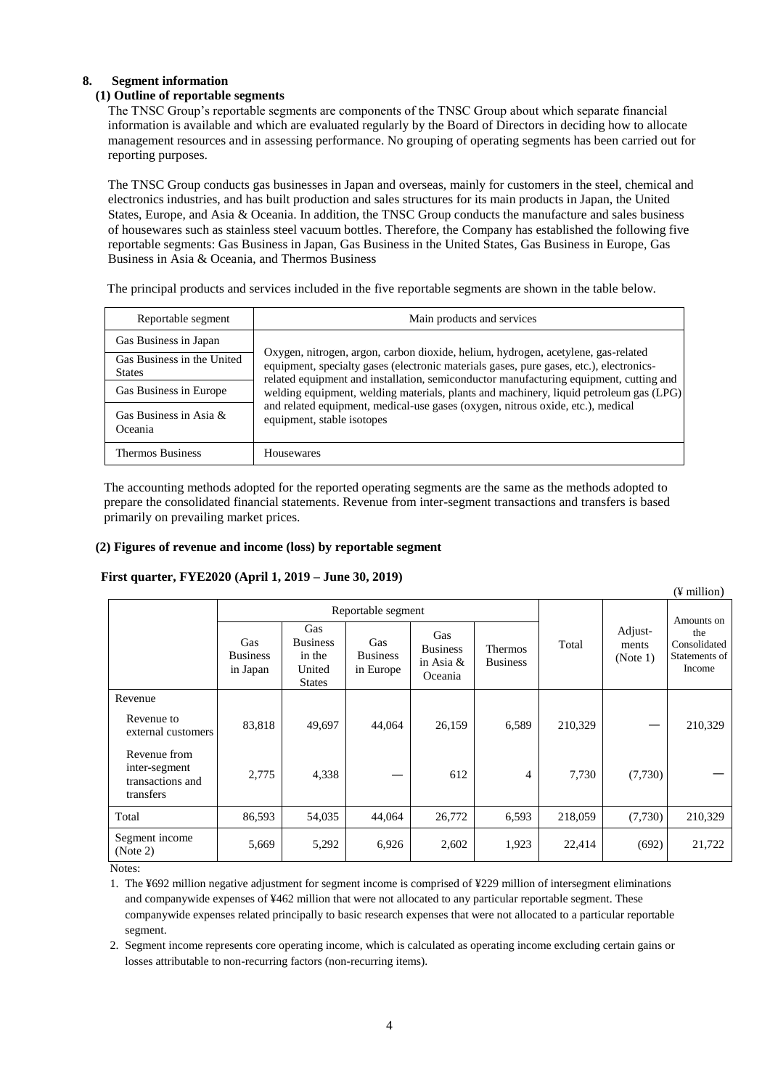## **8. Segment information**

## **(1) Outline of reportable segments**

The TNSC Group's reportable segments are components of the TNSC Group about which separate financial information is available and which are evaluated regularly by the Board of Directors in deciding how to allocate management resources and in assessing performance. No grouping of operating segments has been carried out for reporting purposes.

The TNSC Group conducts gas businesses in Japan and overseas, mainly for customers in the steel, chemical and electronics industries, and has built production and sales structures for its main products in Japan, the United States, Europe, and Asia & Oceania. In addition, the TNSC Group conducts the manufacture and sales business of housewares such as stainless steel vacuum bottles. Therefore, the Company has established the following five reportable segments: Gas Business in Japan, Gas Business in the United States, Gas Business in Europe, Gas Business in Asia & Oceania, and Thermos Business

The principal products and services included in the five reportable segments are shown in the table below.

| Reportable segment                          | Main products and services                                                                                                                                                                                                                                             |  |  |  |
|---------------------------------------------|------------------------------------------------------------------------------------------------------------------------------------------------------------------------------------------------------------------------------------------------------------------------|--|--|--|
| Gas Business in Japan                       |                                                                                                                                                                                                                                                                        |  |  |  |
| Gas Business in the United<br><b>States</b> | Oxygen, nitrogen, argon, carbon dioxide, helium, hydrogen, acetylene, gas-related<br>equipment, specialty gases (electronic materials gases, pure gases, etc.), electronics-<br>related equipment and installation, semiconductor manufacturing equipment, cutting and |  |  |  |
| Gas Business in Europe                      | welding equipment, welding materials, plants and machinery, liquid petroleum gas (LPG)                                                                                                                                                                                 |  |  |  |
| Gas Business in Asia $\&$<br>Oceania        | and related equipment, medical-use gases (oxygen, nitrous oxide, etc.), medical<br>equipment, stable isotopes                                                                                                                                                          |  |  |  |
| <b>Thermos Business</b>                     | <b>Housewares</b>                                                                                                                                                                                                                                                      |  |  |  |

The accounting methods adopted for the reported operating segments are the same as the methods adopted to prepare the consolidated financial statements. Revenue from inter-segment transactions and transfers is based primarily on prevailing market prices.

#### **(2) Figures of revenue and income (loss) by reportable segment**

## **First quarter, FYE2020 (April 1, 2019 – June 30, 2019)**

|                                                                |                                    |                                                             |                                     |                                                  |                            |            |                              | $(\frac{1}{2})$ million                        |
|----------------------------------------------------------------|------------------------------------|-------------------------------------------------------------|-------------------------------------|--------------------------------------------------|----------------------------|------------|------------------------------|------------------------------------------------|
|                                                                |                                    |                                                             | Reportable segment                  |                                                  |                            | Amounts on |                              |                                                |
|                                                                | Gas<br><b>Business</b><br>in Japan | Gas<br><b>Business</b><br>in the<br>United<br><b>States</b> | Gas<br><b>Business</b><br>in Europe | Gas<br><b>Business</b><br>in Asia $&$<br>Oceania | Thermos<br><b>Business</b> | Total      | Adjust-<br>ments<br>(Note 1) | the<br>Consolidated<br>Statements of<br>Income |
| Revenue                                                        |                                    |                                                             |                                     |                                                  |                            |            |                              |                                                |
| Revenue to<br>external customers                               | 83,818                             | 49,697                                                      | 44,064                              | 26,159                                           | 6,589                      | 210,329    |                              | 210,329                                        |
| Revenue from<br>inter-segment<br>transactions and<br>transfers | 2,775                              | 4,338                                                       |                                     | 612                                              | 4                          | 7,730      | (7,730)                      |                                                |
| Total                                                          | 86,593                             | 54,035                                                      | 44,064                              | 26,772                                           | 6,593                      | 218,059    | (7,730)                      | 210,329                                        |
| Segment income<br>(Note 2)                                     | 5,669                              | 5,292                                                       | 6,926                               | 2,602                                            | 1,923                      | 22,414     | (692)                        | 21,722                                         |

Notes:

1. The ¥692 million negative adjustment for segment income is comprised of ¥229 million of intersegment eliminations and companywide expenses of ¥462 million that were not allocated to any particular reportable segment. These companywide expenses related principally to basic research expenses that were not allocated to a particular reportable segment.

2. Segment income represents core operating income, which is calculated as operating income excluding certain gains or losses attributable to non-recurring factors (non-recurring items).